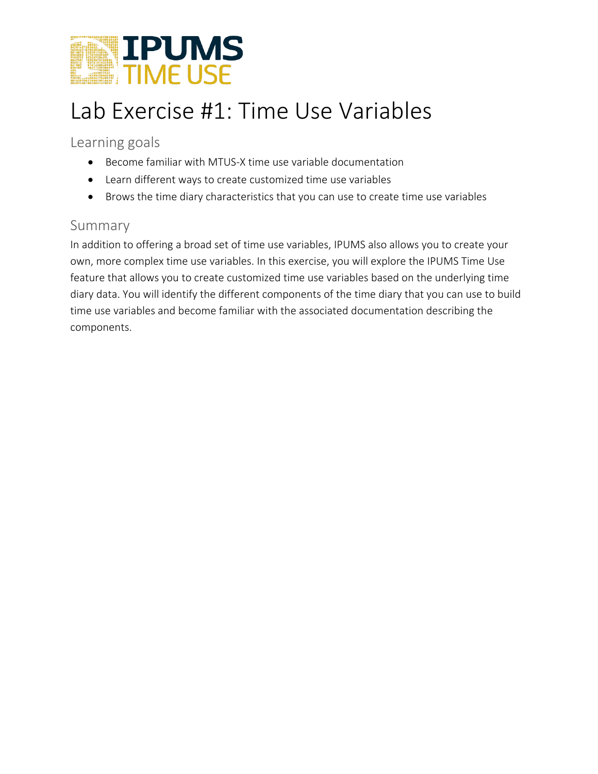

## Lab Exercise #1: Time Use Variables

Learning goals

- Become familiar with MTUS-X time use variable documentation
- Learn different ways to create customized time use variables
- Brows the time diary characteristics that you can use to create time use variables

## Summary

In addition to offering a broad set of time use variables, IPUMS also allows you to create your own, more complex time use variables. In this exercise, you will explore the IPUMS Time Use feature that allows you to create customized time use variables based on the underlying time diary data. You will identify the different components of the time diary that you can use to build time use variables and become familiar with the associated documentation describing the components.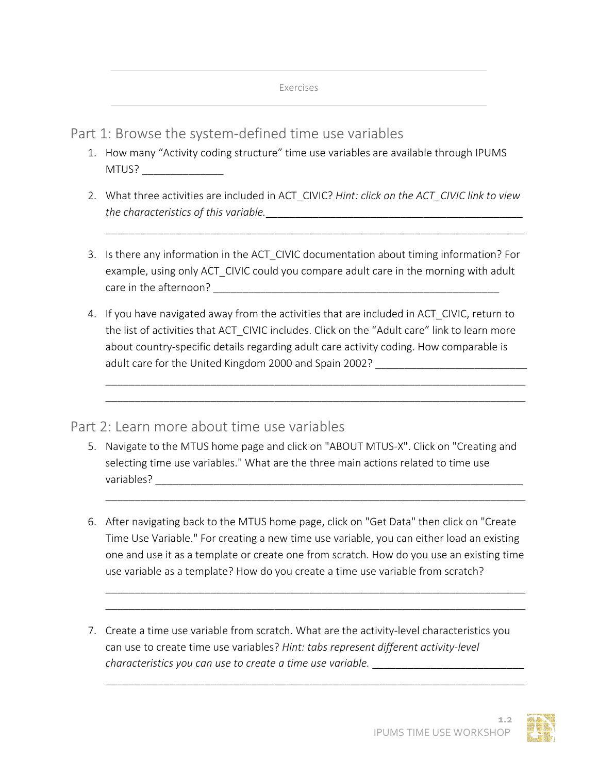Part 1: Browse the system-defined time use variables

- 1. How many "Activity coding structure" time use variables are available through IPUMS MTUS? \_\_\_\_\_\_\_\_\_\_\_\_\_\_
- 2. What three activities are included in ACT\_CIVIC? *Hint: click on the ACT\_CIVIC link to view the characteristics of this variable.*\_\_\_\_\_\_\_\_\_\_\_\_\_\_\_\_\_\_\_\_\_\_\_\_\_\_\_\_\_\_\_\_\_\_\_\_\_\_\_\_\_\_\_\_

\_\_\_\_\_\_\_\_\_\_\_\_\_\_\_\_\_\_\_\_\_\_\_\_\_\_\_\_\_\_\_\_\_\_\_\_\_\_\_\_\_\_\_\_\_\_\_\_\_\_\_\_\_\_\_\_\_\_\_\_\_\_\_\_\_\_\_\_\_\_\_\_

- 3. Is there any information in the ACT\_CIVIC documentation about timing information? For example, using only ACT CIVIC could you compare adult care in the morning with adult care in the afternoon? The state of the state of the state of the state of the state of the state of the state o
- 4. If you have navigated away from the activities that are included in ACT CIVIC, return to the list of activities that ACT\_CIVIC includes. Click on the "Adult care" link to learn more about country-specific details regarding adult care activity coding. How comparable is adult care for the United Kingdom 2000 and Spain 2002? \_\_\_\_\_\_\_\_\_\_\_\_\_\_\_\_\_\_\_\_\_\_\_\_\_\_

\_\_\_\_\_\_\_\_\_\_\_\_\_\_\_\_\_\_\_\_\_\_\_\_\_\_\_\_\_\_\_\_\_\_\_\_\_\_\_\_\_\_\_\_\_\_\_\_\_\_\_\_\_\_\_\_\_\_\_\_\_\_\_\_\_\_\_\_\_\_\_\_ \_\_\_\_\_\_\_\_\_\_\_\_\_\_\_\_\_\_\_\_\_\_\_\_\_\_\_\_\_\_\_\_\_\_\_\_\_\_\_\_\_\_\_\_\_\_\_\_\_\_\_\_\_\_\_\_\_\_\_\_\_\_\_\_\_\_\_\_\_\_\_\_

Part 2: Learn more about time use variables

- 5. Navigate to the MTUS home page and click on "ABOUT MTUS-X". Click on "Creating and selecting time use variables." What are the three main actions related to time use variables?
- 6. After navigating back to the MTUS home page, click on "Get Data" then click on "Create Time Use Variable." For creating a new time use variable, you can either load an existing one and use it as a template or create one from scratch. How do you use an existing time use variable as a template? How do you create a time use variable from scratch?

\_\_\_\_\_\_\_\_\_\_\_\_\_\_\_\_\_\_\_\_\_\_\_\_\_\_\_\_\_\_\_\_\_\_\_\_\_\_\_\_\_\_\_\_\_\_\_\_\_\_\_\_\_\_\_\_\_\_\_\_\_\_\_\_\_\_\_\_\_\_\_\_ \_\_\_\_\_\_\_\_\_\_\_\_\_\_\_\_\_\_\_\_\_\_\_\_\_\_\_\_\_\_\_\_\_\_\_\_\_\_\_\_\_\_\_\_\_\_\_\_\_\_\_\_\_\_\_\_\_\_\_\_\_\_\_\_\_\_\_\_\_\_\_\_

\_\_\_\_\_\_\_\_\_\_\_\_\_\_\_\_\_\_\_\_\_\_\_\_\_\_\_\_\_\_\_\_\_\_\_\_\_\_\_\_\_\_\_\_\_\_\_\_\_\_\_\_\_\_\_\_\_\_\_\_\_\_\_\_\_\_\_\_\_\_\_\_

\_\_\_\_\_\_\_\_\_\_\_\_\_\_\_\_\_\_\_\_\_\_\_\_\_\_\_\_\_\_\_\_\_\_\_\_\_\_\_\_\_\_\_\_\_\_\_\_\_\_\_\_\_\_\_\_\_\_\_\_\_\_\_\_\_\_\_\_\_\_\_\_

7. Create a time use variable from scratch. What are the activity-level characteristics you can use to create time use variables? *Hint: tabs represent different activity-level characteristics you can use to create a time use variable.* \_\_\_\_\_\_\_\_\_\_\_\_\_\_\_\_\_\_\_\_\_\_\_\_\_\_

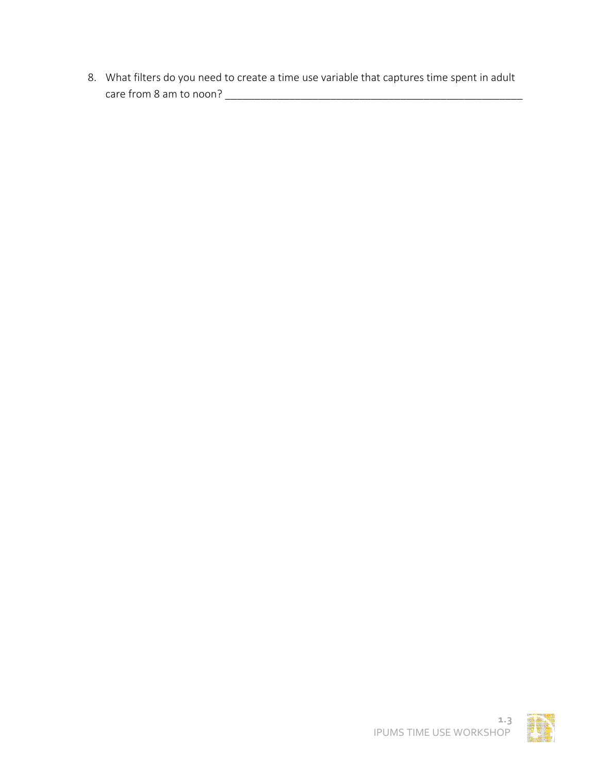8. What filters do you need to create a time use variable that captures time spent in adult care from 8 am to noon? \_\_\_\_\_\_\_\_\_\_\_\_\_\_\_\_\_\_\_\_\_\_\_\_\_\_\_\_\_\_\_\_\_\_\_\_\_\_\_\_\_\_\_\_\_\_\_\_\_\_\_

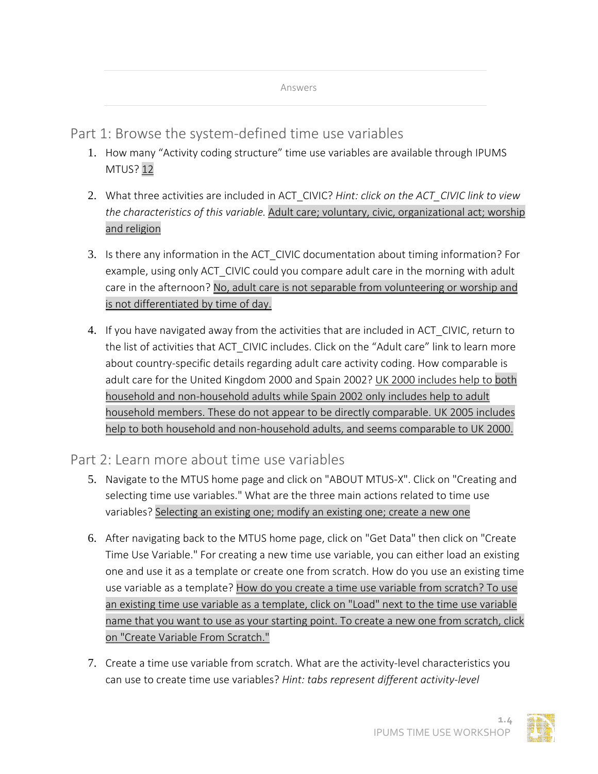Part 1: Browse the system-defined time use variables

- 1. How many "Activity coding structure" time use variables are available through IPUMS MTUS? 12
- 2. What three activities are included in ACT\_CIVIC? *Hint: click on the ACT\_CIVIC link to view the characteristics of this variable.* Adult care; voluntary, civic, organizational act; worship and religion
- 3. Is there any information in the ACT\_CIVIC documentation about timing information? For example, using only ACT CIVIC could you compare adult care in the morning with adult care in the afternoon? No, adult care is not separable from volunteering or worship and is not differentiated by time of day.
- 4. If you have navigated away from the activities that are included in ACT CIVIC, return to the list of activities that ACT CIVIC includes. Click on the "Adult care" link to learn more about country-specific details regarding adult care activity coding. How comparable is adult care for the United Kingdom 2000 and Spain 2002? UK 2000 includes help to both household and non-household adults while Spain 2002 only includes help to adult household members. These do not appear to be directly comparable. UK 2005 includes help to both household and non-household adults, and seems comparable to UK 2000.

Part 2: Learn more about time use variables

- 5. Navigate to the MTUS home page and click on "ABOUT MTUS-X". Click on "Creating and selecting time use variables." What are the three main actions related to time use variables? Selecting an existing one; modify an existing one; create a new one
- 6. After navigating back to the MTUS home page, click on "Get Data" then click on "Create Time Use Variable." For creating a new time use variable, you can either load an existing one and use it as a template or create one from scratch. How do you use an existing time use variable as a template? How do you create a time use variable from scratch? To use an existing time use variable as a template, click on "Load" next to the time use variable name that you want to use as your starting point. To create a new one from scratch, click on "Create Variable From Scratch."
- 7. Create a time use variable from scratch. What are the activity-level characteristics you can use to create time use variables? *Hint: tabs represent different activity-level*

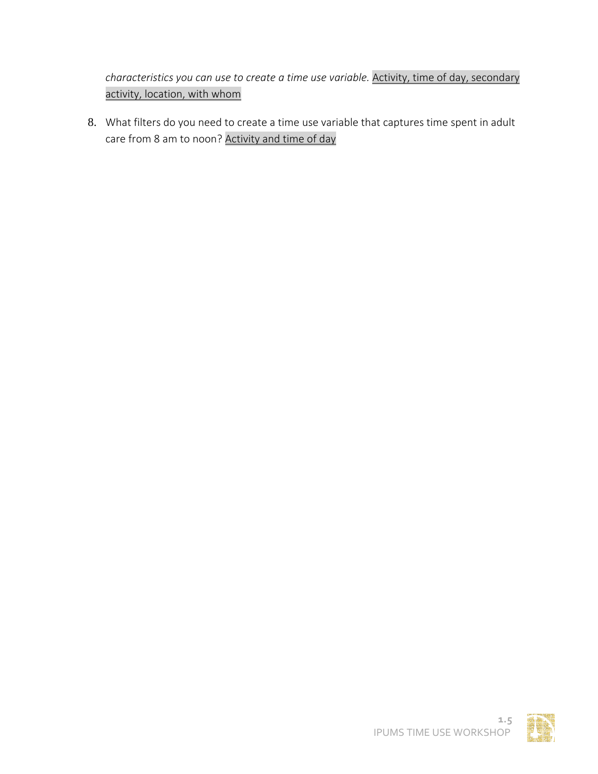*characteristics you can use to create a time use variable.* Activity, time of day, secondary activity, location, with whom

8. What filters do you need to create a time use variable that captures time spent in adult care from 8 am to noon? Activity and time of day

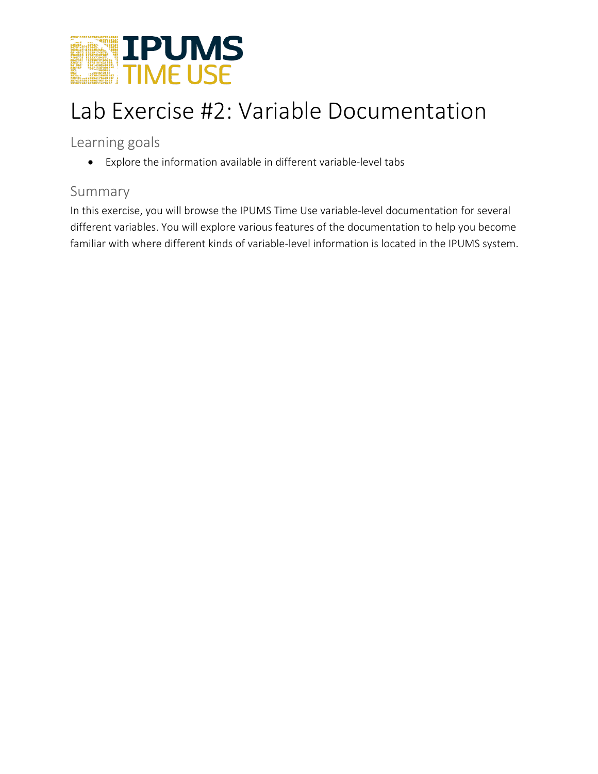

## Lab Exercise #2: Variable Documentation

Learning goals

• Explore the information available in different variable-level tabs

## Summary

In this exercise, you will browse the IPUMS Time Use variable-level documentation for several different variables. You will explore various features of the documentation to help you become familiar with where different kinds of variable-level information is located in the IPUMS system.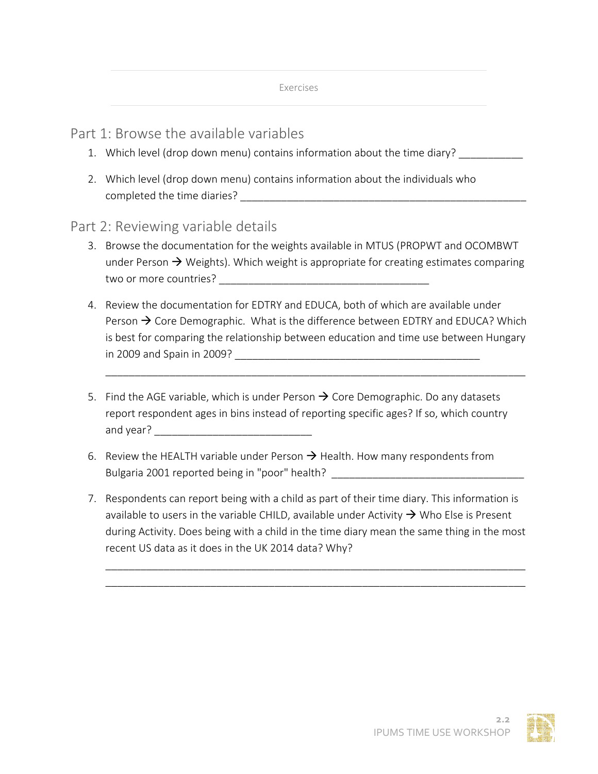## Part 1: Browse the available variables

- 1. Which level (drop down menu) contains information about the time diary? \_\_\_\_\_\_\_\_\_\_
- 2. Which level (drop down menu) contains information about the individuals who completed the time diaries? **Example 1**

### Part 2: Reviewing variable details

- 3. Browse the documentation for the weights available in MTUS (PROPWT and OCOMBWT under Person  $\rightarrow$  Weights). Which weight is appropriate for creating estimates comparing two or more countries? The state of the state of the state of the state of the state of the state of the state o
- 4. Review the documentation for EDTRY and EDUCA, both of which are available under Person  $\rightarrow$  Core Demographic. What is the difference between EDTRY and EDUCA? Which is best for comparing the relationship between education and time use between Hungary in 2009 and Spain in 2009? \_\_\_\_\_\_\_\_\_\_\_\_\_\_\_\_\_\_\_\_\_\_\_\_\_\_\_\_\_\_\_\_\_\_\_\_\_\_\_\_\_\_

\_\_\_\_\_\_\_\_\_\_\_\_\_\_\_\_\_\_\_\_\_\_\_\_\_\_\_\_\_\_\_\_\_\_\_\_\_\_\_\_\_\_\_\_\_\_\_\_\_\_\_\_\_\_\_\_\_\_\_\_\_\_\_\_\_\_\_\_\_\_\_\_

- 5. Find the AGE variable, which is under Person  $\rightarrow$  Core Demographic. Do any datasets report respondent ages in bins instead of reporting specific ages? If so, which country and year? \_\_\_\_\_\_\_\_\_\_\_\_\_\_\_\_\_\_\_\_\_\_\_\_\_\_\_
- 6. Review the HEALTH variable under Person  $\rightarrow$  Health. How many respondents from Bulgaria 2001 reported being in "poor" health?
- 7. Respondents can report being with a child as part of their time diary. This information is available to users in the variable CHILD, available under Activity  $\rightarrow$  Who Else is Present during Activity. Does being with a child in the time diary mean the same thing in the most recent US data as it does in the UK 2014 data? Why?

\_\_\_\_\_\_\_\_\_\_\_\_\_\_\_\_\_\_\_\_\_\_\_\_\_\_\_\_\_\_\_\_\_\_\_\_\_\_\_\_\_\_\_\_\_\_\_\_\_\_\_\_\_\_\_\_\_\_\_\_\_\_\_\_\_\_\_\_\_\_\_\_ \_\_\_\_\_\_\_\_\_\_\_\_\_\_\_\_\_\_\_\_\_\_\_\_\_\_\_\_\_\_\_\_\_\_\_\_\_\_\_\_\_\_\_\_\_\_\_\_\_\_\_\_\_\_\_\_\_\_\_\_\_\_\_\_\_\_\_\_\_\_\_\_

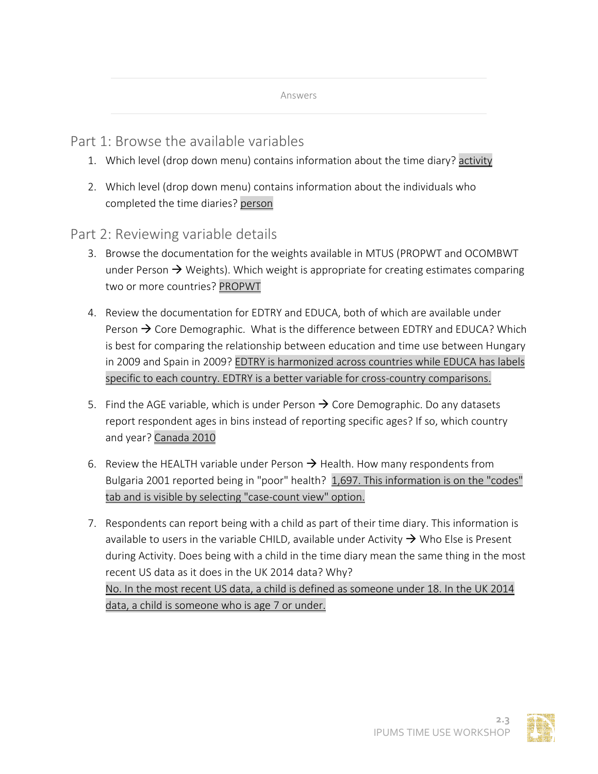Part 1: Browse the available variables

- 1. Which level (drop down menu) contains information about the time diary? activity
- 2. Which level (drop down menu) contains information about the individuals who completed the time diaries? person

Part 2: Reviewing variable details

- 3. Browse the documentation for the weights available in MTUS (PROPWT and OCOMBWT under Person  $\rightarrow$  Weights). Which weight is appropriate for creating estimates comparing two or more countries? PROPWT
- 4. Review the documentation for EDTRY and EDUCA, both of which are available under Person  $\rightarrow$  Core Demographic. What is the difference between EDTRY and EDUCA? Which is best for comparing the relationship between education and time use between Hungary in 2009 and Spain in 2009? EDTRY is harmonized across countries while EDUCA has labels specific to each country. EDTRY is a better variable for cross-country comparisons.
- 5. Find the AGE variable, which is under Person  $\rightarrow$  Core Demographic. Do any datasets report respondent ages in bins instead of reporting specific ages? If so, which country and year? Canada 2010
- 6. Review the HEALTH variable under Person  $\rightarrow$  Health. How many respondents from Bulgaria 2001 reported being in "poor" health? 1,697. This information is on the "codes" tab and is visible by selecting "case-count view" option.
- 7. Respondents can report being with a child as part of their time diary. This information is available to users in the variable CHILD, available under Activity  $\rightarrow$  Who Else is Present during Activity. Does being with a child in the time diary mean the same thing in the most recent US data as it does in the UK 2014 data? Why? No. In the most recent US data, a child is defined as someone under 18. In the UK 2014 data, a child is someone who is age 7 or under.

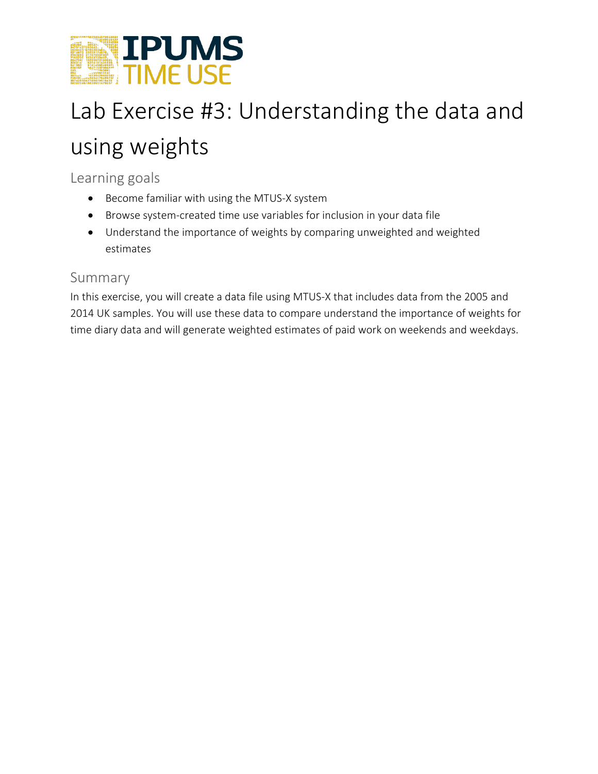

# Lab Exercise #3: Understanding the data and using weights

Learning goals

- Become familiar with using the MTUS-X system
- Browse system-created time use variables for inclusion in your data file
- Understand the importance of weights by comparing unweighted and weighted estimates

## Summary

In this exercise, you will create a data file using MTUS-X that includes data from the 2005 and 2014 UK samples. You will use these data to compare understand the importance of weights for time diary data and will generate weighted estimates of paid work on weekends and weekdays.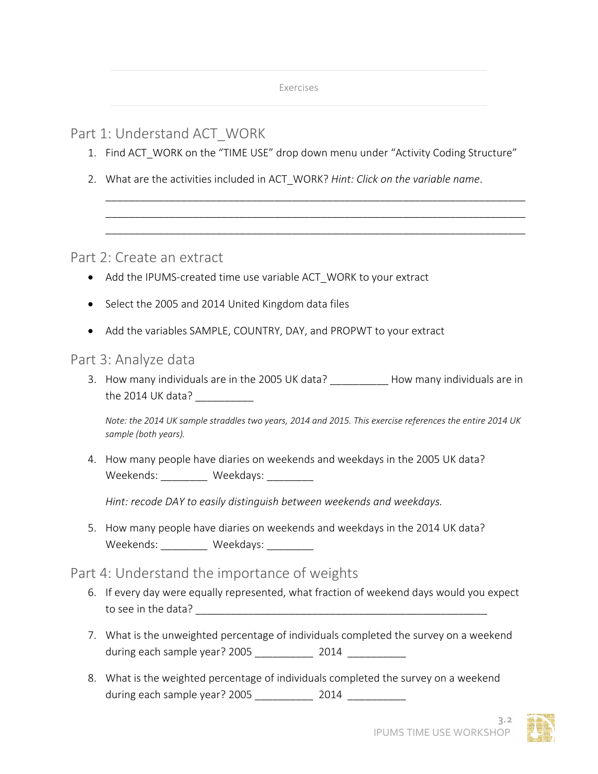## Part 1: Understand ACT\_WORK

1. Find ACT\_WORK on the "TIME USE" drop down menu under "Activity Coding Structure"

\_\_\_\_\_\_\_\_\_\_\_\_\_\_\_\_\_\_\_\_\_\_\_\_\_\_\_\_\_\_\_\_\_\_\_\_\_\_\_\_\_\_\_\_\_\_\_\_\_\_\_\_\_\_\_\_\_\_\_\_\_\_\_\_\_\_\_\_\_\_\_\_ \_\_\_\_\_\_\_\_\_\_\_\_\_\_\_\_\_\_\_\_\_\_\_\_\_\_\_\_\_\_\_\_\_\_\_\_\_\_\_\_\_\_\_\_\_\_\_\_\_\_\_\_\_\_\_\_\_\_\_\_\_\_\_\_\_\_\_\_\_\_\_\_ \_\_\_\_\_\_\_\_\_\_\_\_\_\_\_\_\_\_\_\_\_\_\_\_\_\_\_\_\_\_\_\_\_\_\_\_\_\_\_\_\_\_\_\_\_\_\_\_\_\_\_\_\_\_\_\_\_\_\_\_\_\_\_\_\_\_\_\_\_\_\_\_

2. What are the activities included in ACT\_WORK? *Hint: Click on the variable name*.

Part 2: Create an extract

- Add the IPUMS-created time use variable ACT WORK to your extract
- Select the 2005 and 2014 United Kingdom data files
- Add the variables SAMPLE, COUNTRY, DAY, and PROPWT to your extract

### Part 3: Analyze data

3. How many individuals are in the 2005 UK data? How many individuals are in the 2014 UK data?

*Note: the 2014 UK sample straddles two years, 2014 and 2015. This exercise references the entire 2014 UK sample (both years).* 

4. How many people have diaries on weekends and weekdays in the 2005 UK data? Weekends: Weekdays:

*Hint: recode DAY to easily distinguish between weekends and weekdays.*

5. How many people have diaries on weekends and weekdays in the 2014 UK data? Weekends: Weekdays:

## Part 4: Understand the importance of weights

- 6. If every day were equally represented, what fraction of weekend days would you expect to see in the data?
- 7. What is the unweighted percentage of individuals completed the survey on a weekend during each sample year? 2005 \_\_\_\_\_\_\_\_\_\_\_\_ 2014 \_\_\_\_\_\_\_\_\_\_\_
- 8. What is the weighted percentage of individuals completed the survey on a weekend during each sample year? 2005 \_\_\_\_\_\_\_\_\_\_\_\_ 2014 \_\_\_\_\_\_\_\_\_\_\_\_\_



**3.2**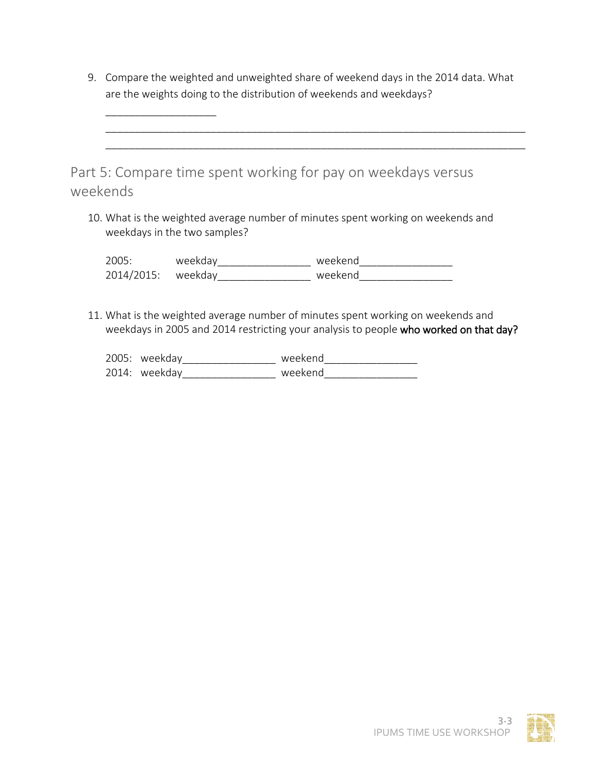| 9. Compare the weighted and unweighted share of weekend days in the 2014 data. What |
|-------------------------------------------------------------------------------------|
| are the weights doing to the distribution of weekends and weekdays?                 |

\_\_\_\_\_\_\_\_\_\_\_\_\_\_\_\_\_\_\_\_\_\_\_\_\_\_\_\_\_\_\_\_\_\_\_\_\_\_\_\_\_\_\_\_\_\_\_\_\_\_\_\_\_\_\_\_\_\_\_\_\_\_\_\_\_\_\_\_\_\_\_\_

| Part 5: Compare time spent working for pay on weekdays versus |  |
|---------------------------------------------------------------|--|
| weekends                                                      |  |

\_\_\_\_\_\_\_\_\_\_\_\_\_\_\_\_\_\_\_

10. What is the weighted average number of minutes spent working on weekends and weekdays in the two samples?

2005: weekday\_\_\_\_\_\_\_\_\_\_\_\_\_\_\_\_ weekend\_\_\_\_\_\_\_\_\_\_\_\_\_\_\_\_ 2014/2015: weekday\_\_\_\_\_\_\_\_\_\_\_\_\_\_\_\_ weekend\_\_\_\_\_\_\_\_\_\_\_\_\_\_\_\_

11. What is the weighted average number of minutes spent working on weekends and weekdays in 2005 and 2014 restricting your analysis to people who worked on that day?

| 2005: weekday  | weekend |
|----------------|---------|
| $2014$ weekday | weekend |

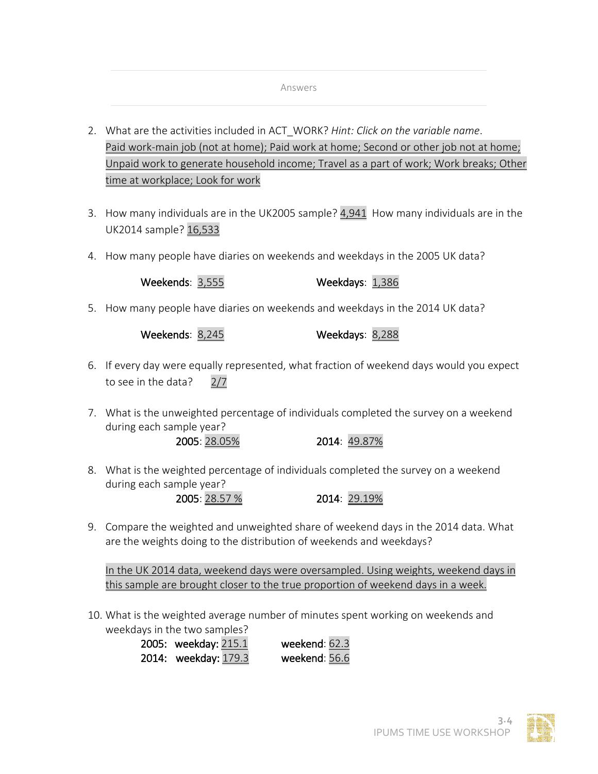#### Answers

- 2. What are the activities included in ACT\_WORK? *Hint: Click on the variable name*. Paid work-main job (not at home); Paid work at home; Second or other job not at home; Unpaid work to generate household income; Travel as a part of work; Work breaks; Other time at workplace; Look for work
- 3. How many individuals are in the UK2005 sample? 4,941 How many individuals are in the UK2014 sample? 16,533
- 4. How many people have diaries on weekends and weekdays in the 2005 UK data?

Weekends: 3,555 Weekdays: 1,386

5. How many people have diaries on weekends and weekdays in the 2014 UK data?

Weekends: 8,245 Weekdays: 8,288

- 6. If every day were equally represented, what fraction of weekend days would you expect to see in the data? 2/7
- 7. What is the unweighted percentage of individuals completed the survey on a weekend during each sample year?

2005: 28.05% 2014: 49.87%

8. What is the weighted percentage of individuals completed the survey on a weekend during each sample year?

2005: 28.57 % 2014: 29.19%

9. Compare the weighted and unweighted share of weekend days in the 2014 data. What are the weights doing to the distribution of weekends and weekdays?

In the UK 2014 data, weekend days were oversampled. Using weights, weekend days in this sample are brought closer to the true proportion of weekend days in a week.

10. What is the weighted average number of minutes spent working on weekends and weekdays in the two samples?

> 2005: weekday: 215.1 weekend: 62.3 2014: weekday: 179.3 weekend: 56.6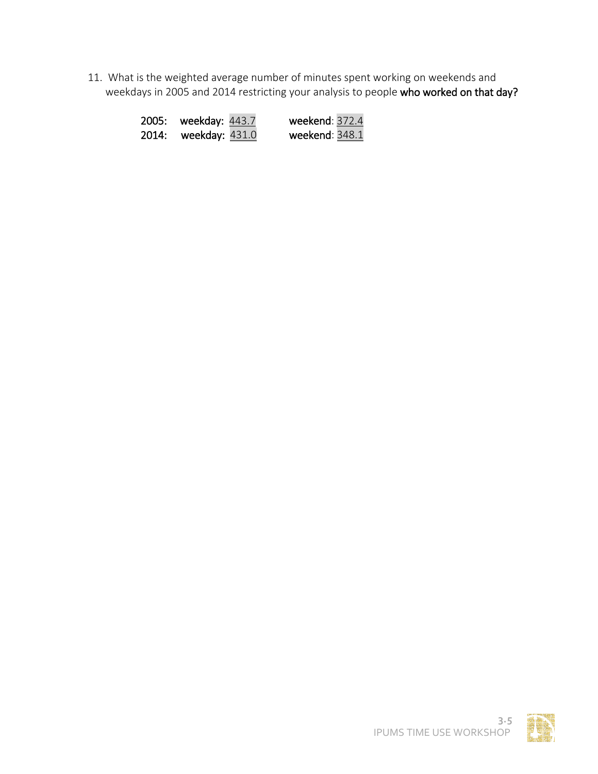11. What is the weighted average number of minutes spent working on weekends and weekdays in 2005 and 2014 restricting your analysis to people who worked on that day?

| 2005: | weekday: 443.7   | weekend: 372.4 |
|-------|------------------|----------------|
| 2014: | weekday: $431.0$ | weekend: 348.1 |

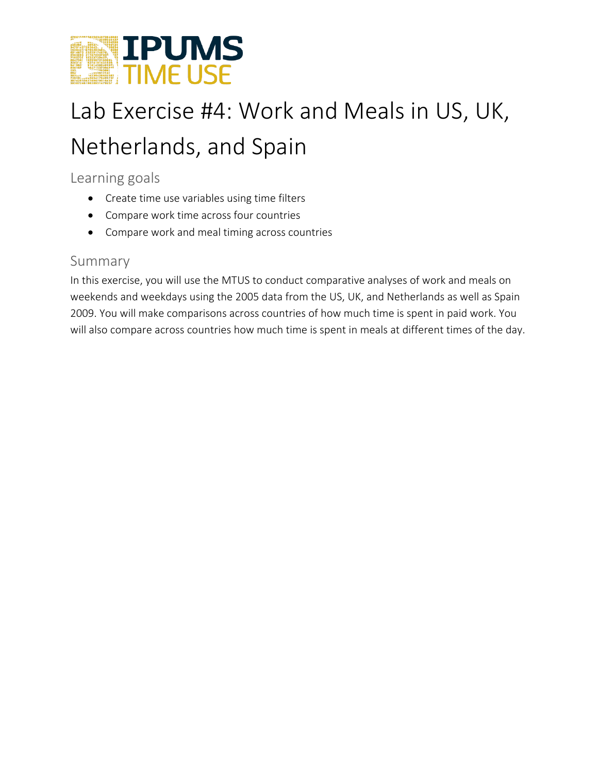

# Lab Exercise #4: Work and Meals in US, UK, Netherlands, and Spain

## Learning goals

- Create time use variables using time filters
- Compare work time across four countries
- Compare work and meal timing across countries

## Summary

In this exercise, you will use the MTUS to conduct comparative analyses of work and meals on weekends and weekdays using the 2005 data from the US, UK, and Netherlands as well as Spain 2009. You will make comparisons across countries of how much time is spent in paid work. You will also compare across countries how much time is spent in meals at different times of the day.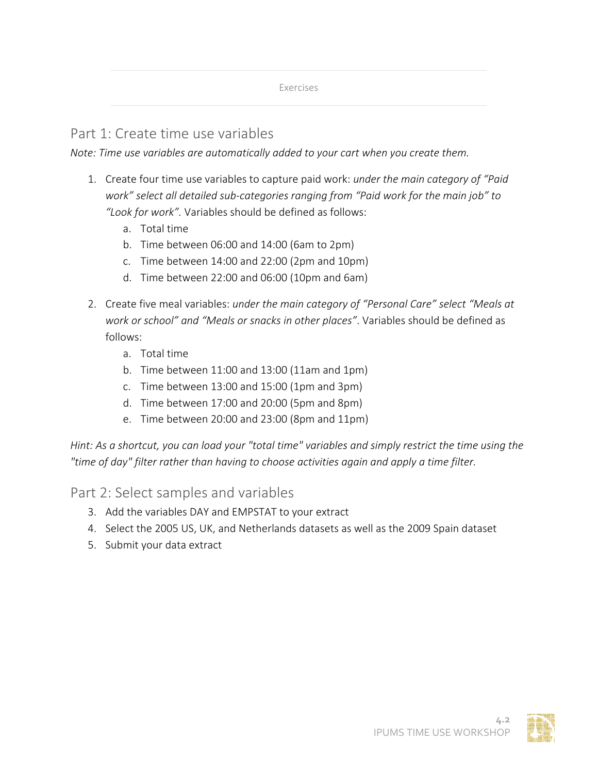Exercises

## Part 1: Create time use variables

*Note: Time use variables are automatically added to your cart when you create them.*

- 1. Create four time use variables to capture paid work: *under the main category of "Paid work" select all detailed sub-categories ranging from "Paid work for the main job" to "Look for work".* Variables should be defined as follows:
	- a. Total time
	- b. Time between 06:00 and 14:00 (6am to 2pm)
	- c. Time between 14:00 and 22:00 (2pm and 10pm)
	- d. Time between 22:00 and 06:00 (10pm and 6am)
- 2. Create five meal variables: *under the main category of "Personal Care" select "Meals at work or school" and "Meals or snacks in other places"*. Variables should be defined as follows:
	- a. Total time
	- b. Time between 11:00 and 13:00 (11am and 1pm)
	- c. Time between 13:00 and 15:00 (1pm and 3pm)
	- d. Time between 17:00 and 20:00 (5pm and 8pm)
	- e. Time between 20:00 and 23:00 (8pm and 11pm)

*Hint: As a shortcut, you can load your "total time" variables and simply restrict the time using the "time of day" filter rather than having to choose activities again and apply a time filter.*

Part 2: Select samples and variables

- 3. Add the variables DAY and EMPSTAT to your extract
- 4. Select the 2005 US, UK, and Netherlands datasets as well as the 2009 Spain dataset
- 5. Submit your data extract

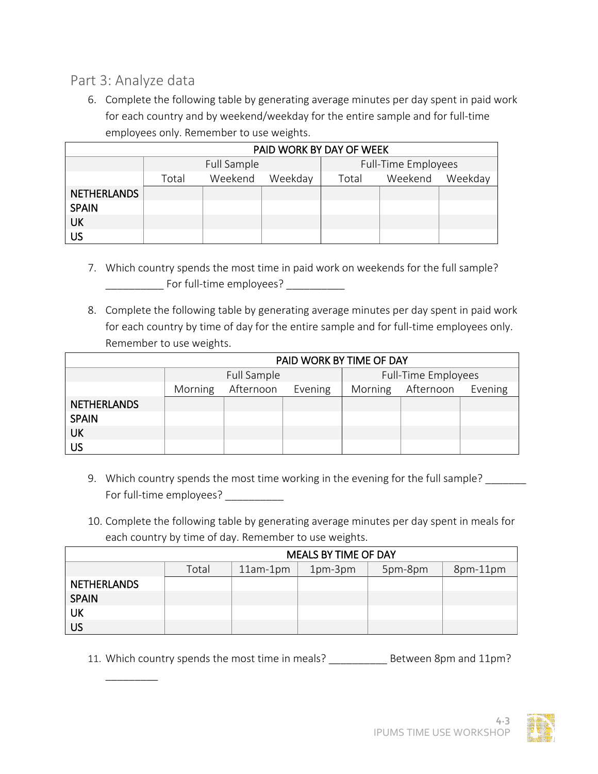## Part 3: Analyze data

 $\overline{\phantom{a}}$   $\overline{\phantom{a}}$   $\overline{\phantom{a}}$   $\overline{\phantom{a}}$   $\overline{\phantom{a}}$   $\overline{\phantom{a}}$   $\overline{\phantom{a}}$   $\overline{\phantom{a}}$   $\overline{\phantom{a}}$   $\overline{\phantom{a}}$   $\overline{\phantom{a}}$   $\overline{\phantom{a}}$   $\overline{\phantom{a}}$   $\overline{\phantom{a}}$   $\overline{\phantom{a}}$   $\overline{\phantom{a}}$   $\overline{\phantom{a}}$   $\overline{\phantom{a}}$   $\overline{\$ 

6. Complete the following table by generating average minutes per day spent in paid work for each country and by weekend/weekday for the entire sample and for full-time employees only. Remember to use weights.

|                    | PAID WORK BY DAY OF WEEK |                    |  |  |                     |         |  |  |  |
|--------------------|--------------------------|--------------------|--|--|---------------------|---------|--|--|--|
|                    |                          | Full Sample        |  |  | Full-Time Employees |         |  |  |  |
|                    | Total                    | Weekend<br>Weekday |  |  | Weekend             | Weekday |  |  |  |
| <b>NETHERLANDS</b> |                          |                    |  |  |                     |         |  |  |  |
| <b>SPAIN</b>       |                          |                    |  |  |                     |         |  |  |  |
| UK                 |                          |                    |  |  |                     |         |  |  |  |
| US                 |                          |                    |  |  |                     |         |  |  |  |

- 7. Which country spends the most time in paid work on weekends for the full sample? \_\_\_\_\_\_\_\_\_\_ For full-time employees? \_\_\_\_\_\_\_\_\_\_
- 8. Complete the following table by generating average minutes per day spent in paid work for each country by time of day for the entire sample and for full-time employees only. Remember to use weights.

|                    | PAID WORK BY TIME OF DAY |                      |  |                     |           |         |  |  |
|--------------------|--------------------------|----------------------|--|---------------------|-----------|---------|--|--|
|                    | Full Sample              |                      |  | Full-Time Employees |           |         |  |  |
|                    | Morning                  | Afternoon<br>Evening |  |                     | Afternoon | Evening |  |  |
| <b>NETHERLANDS</b> |                          |                      |  |                     |           |         |  |  |
| <b>SPAIN</b>       |                          |                      |  |                     |           |         |  |  |
| <b>UK</b>          |                          |                      |  |                     |           |         |  |  |
| <b>US</b>          |                          |                      |  |                     |           |         |  |  |

- 9. Which country spends the most time working in the evening for the full sample? For full-time employees?
- 10. Complete the following table by generating average minutes per day spent in meals for each country by time of day. Remember to use weights.

|                    | <b>MEALS BY TIME OF DAY</b>                           |  |  |  |  |  |  |  |  |
|--------------------|-------------------------------------------------------|--|--|--|--|--|--|--|--|
|                    | Total<br>5pm-8pm<br>$11am-1pm$<br>1pm-3pm<br>8pm-11pm |  |  |  |  |  |  |  |  |
| <b>NETHERLANDS</b> |                                                       |  |  |  |  |  |  |  |  |
| <b>SPAIN</b>       |                                                       |  |  |  |  |  |  |  |  |
| UK                 |                                                       |  |  |  |  |  |  |  |  |
| <b>US</b>          |                                                       |  |  |  |  |  |  |  |  |

11. Which country spends the most time in meals? \_\_\_\_\_\_\_\_\_\_ Between 8pm and 11pm?